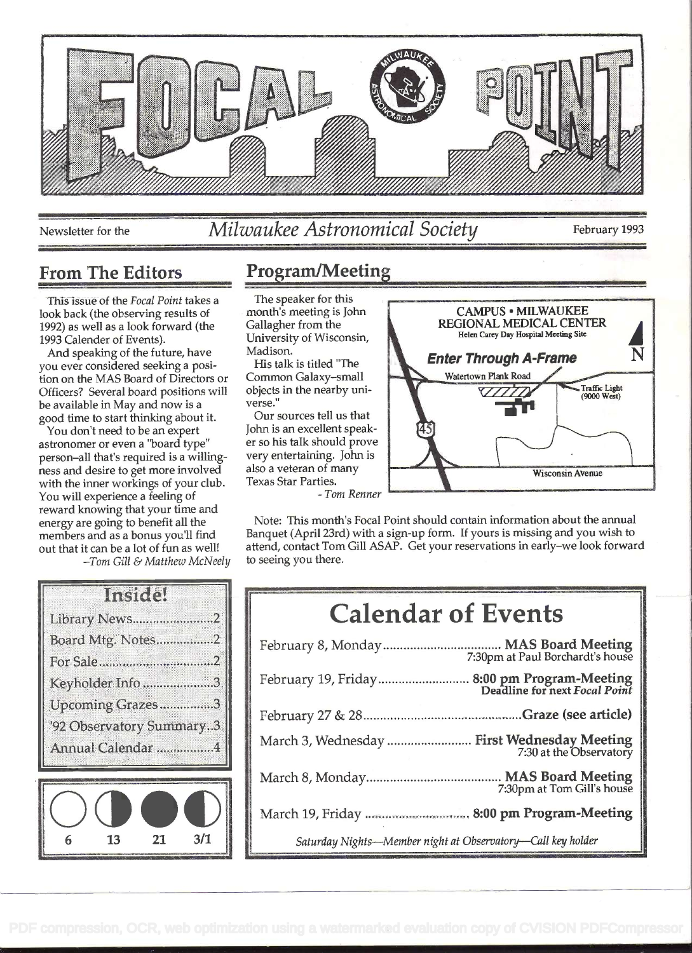

Newsletter for the *Milwaukee Astronomical Society* February 1993

## From The Editors Program/Meeting

This issue of the Focal Point takes a look back (the observing results of 1992) as well as a look forward (the 1993 Calender of Events).

And speaking of the future, have you ever considered seeking a position on the MAS Board of Directors or Officers? Several board positions will be available in May and now is a good time to start thinking about it.

You don't need to be an expert astronomer or even a 'board type" person-all that's required is a willingness and desire to get more involved with the inner workings of your club. You will experience a feeling of reward knowing that your time and energy are going to benefit all the members and as a bonus you'll find out that it can be a lot of fun as well!

Tom Gill & Matthew McNeely

| Insidel                  |  |
|--------------------------|--|
| Library News<br>         |  |
| Board Mtg. Notes2        |  |
|                          |  |
| Keyholder Info3          |  |
| Upcoming Grazes3         |  |
| '92 Observatory Summary3 |  |
| Annual Calendar 4        |  |
|                          |  |
|                          |  |



The speaker for this month's meeting is John Gallagher from the University of Wisconsin, Madison.

His talk is titled "The Common Galaxy-small objects in the nearby universe."

Our sources tell us that John is an excellent speaker so his talk should prove very entertaining. John is also a veteran of many Texas Star Parties.

- Tom Renner



Note: This month's Focal Point should contain information about the annual Banquet (April 23rd) with a sign-up form. If yours is missing and you wish to attend, contact Tom Gill ASAP. Get your reservations in early-we look forward to seeing you there.

| <b>Calendar of Events</b>                                                    |
|------------------------------------------------------------------------------|
|                                                                              |
| February 19, Friday 8:00 pm Program-Meeting<br>Deadline for next Focal Point |
|                                                                              |
| March 3, Wednesday  First Wednesday Meeting<br>7:30 at the Observatory       |
| 7:30pm at Tom Gill's house                                                   |
|                                                                              |
| Saturday Nights-Member night at Observatory-Call key holder                  |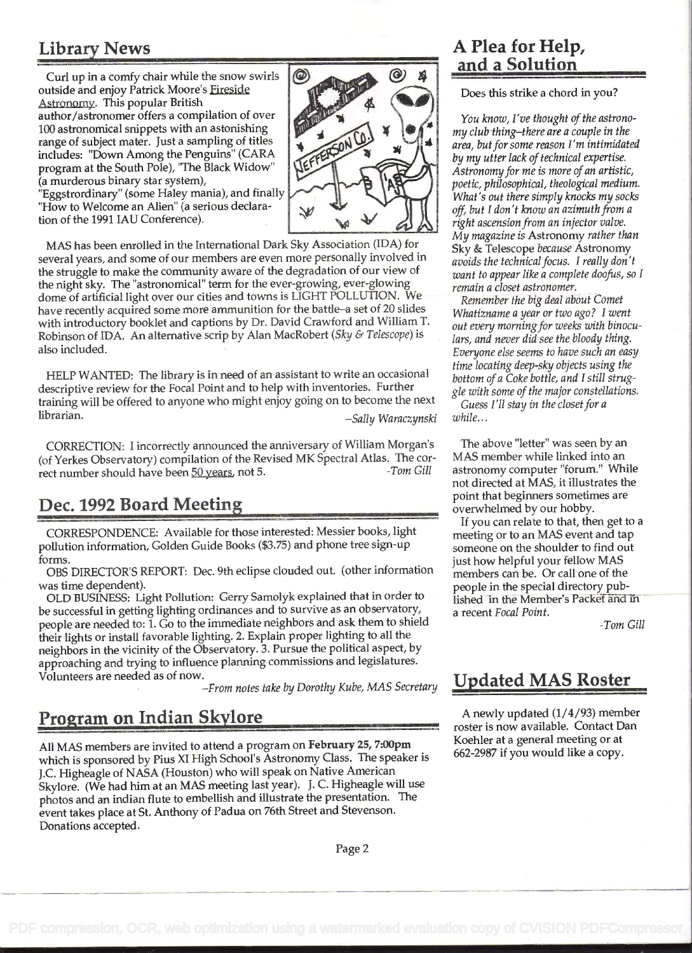# Library News

Curl up in a comfy chair while the snow swirls  $\mathcal O$ outside and enjoy Patrick Moore's Fireside Astronomy. This popular British author/astronomer offers a compilation of over 100 astronomical snippets with an astonishing range of subject mater. Just a sampling of titles includes: 'Down Among the Penguins" (CARA program at the South Pole), 'The Black Widow" (a murderous binary star system), "How to Welcome an Alien" (a serious declara-



"Eggstrordinary" (some Haley mania), and finally tion of the 1991 TAU Conference).

MAS has been enrolled in the International Dark Sky Association (IDA) for several years, and some of our members are even more personally involved in the struggle to make the community aware of the degradation of our view of the night sky. The "astronomical" term for the ever-growing, ever-glowing dome of artificial light over our cities and towns is LIGHT POLLUTION. We have recently acquired some more ammunition for the battle-a set of 20 slides with introductory booklet and captions by Dr. David Crawford and William T Robinson of IDA. An alternative scrip by Alan MacRobert (Sky & Telescope) is also included.

HELP WANTED: The library is in need of an assistant to write an occasional descriptive review for the Focal Point and to help with inventories. Further training will be offered to anyone who might enjoy going on to become the next librarian.  $-Sally Waraczynski$ 

CORRECTION: I incorrectly announced the anniversary of William Morgan's (of Yerkes Observatory) compilation of the Revised MK Spectral Atlas. The cor-<br>rect number should have been 50 years, not 5. rect number should have been 50 years, not 5.

# Dec. 1992 Board Meetin

CORRESPONDENCE: Available for those interested: Messier books, light pollution information, Golden Guide Books (\$3.75) and phone tree sign-up forms.

OBS DIRECTOR'S REPORT: Dec. 9th eclipse clouded out. (other information was time dependent).

OLD BUSINESS: Light Pollution: Gerry Samolyk explained that in order to be successful in getting lighting ordinances and to survive as an observatory, people are needed to: 1. Go to the immediate neighbors and ask them to shield their lights or install favorable lighting. 2. Explain proper lighting to all the neighbors in the vicinity of the Observatory. 3. Pursue the political aspect, by approaching and trying to influence planning commissions and legislatures. Volunteers are needed as of now.

-From notes take by Dorothy Kube, MAS Secretary

# Program on Indian Skylore

All MAS members are invited to attend a program on February 25, 7:00pm which is sponsored by Pius XI High School's Astronomy Class. The speaker is J.C. Higheagle of NASA (Houston) who will speak on Native American Skylore. (We had him at an MAS meeting last year). J. C. Higheagle will use photos and an indian flute to embellish and illustrate the presentation. The event takes place at St. Anthony of Padua on 76th Street and Stevenson. Donations accepted.

# \_\_\_\_\_\_ A Plea for Help, and a Solution

Does this strike a chord in you?

You know, I've thought of the astronomy club thing-there are a couple in the area, but for some reason I'm intimidated by my utter lack of technical expertise. Astronomy for me is more of an artistic, poetic, philosophical, theological medium. What's out there simply knocks my socks off, but I don't know an azimuth from a right ascension from an injector valve. My magazine is Astronomy rather than Sky & Telescope because Astronomy avoids the technical focus. I really don't want to appear like a complete doofus, so I remain a closet astronomer.

Remember the big deal about Comet Whatizname a year or two ago? I went out every morning for weeks with binoculars, and never did see the bloody thing. Everyone else seems to have such an easy time locating deep-sky objects using the bottom of a Coke bottle, and I still struggle with some of the major constellations.

Guess I'll stay in the closet for a while...

The above "letter" was seen by an MAS member while linked into an astronomy computer "forum." While not directed at MAS, it illustrates the point that beginners sometimes are overwhelmed by our hobby.

If you can relate to that, then get to a meeting or to an MAS event and tap someone on the shoulder to find out just how helpful your fellow MAS members can be. Or call one of the people in the special directory published in the Member's Packet and in a recent Focal Point.

-Tom Gill

# Updated MAS Roster

A newly updated (1/4/93) member roster is now available. Contact Dan Koehier at a general meeting or at 662-2987 if you would like a copy.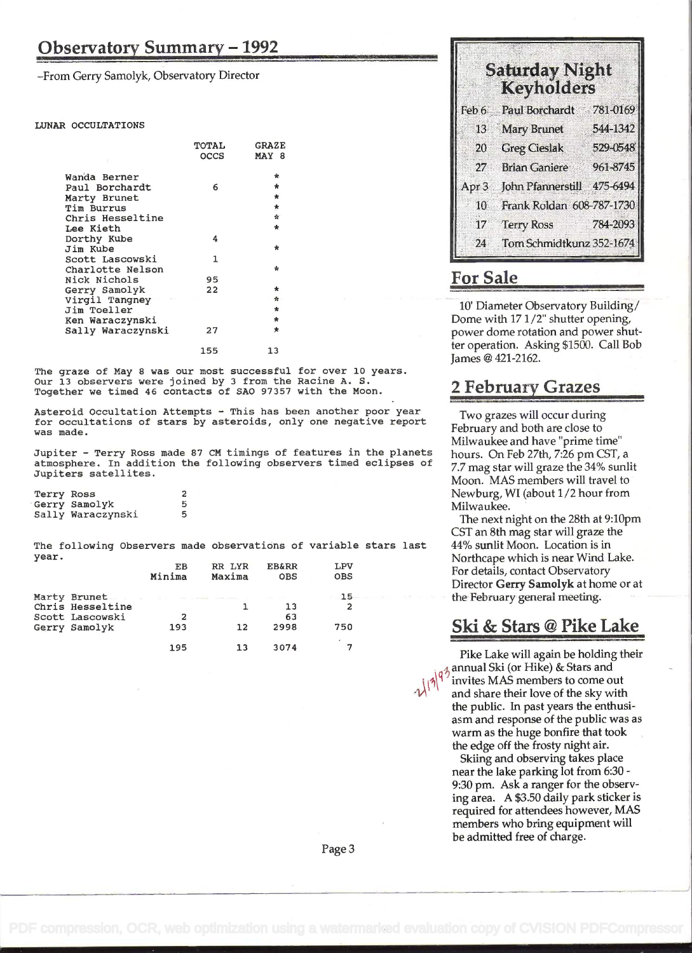-From Gerry Samolyk, Observatory Director

#### LUNAR OCCULTATIONS

|                   | TOTAL | <b>GRAZE</b> |  |
|-------------------|-------|--------------|--|
|                   | occs  | MAY 8        |  |
|                   |       |              |  |
| Wanda Berner      |       | ₩.           |  |
| Paul Borchardt    | 6     | $\star$      |  |
| Marty Brunet      |       | $\star$      |  |
| Tim Burrus        |       | *            |  |
| Chris Hesseltine  |       | 音            |  |
| Lee Kieth         |       | $\star$      |  |
| Dorthy Kube       | 4     |              |  |
| Jim Kube          |       | $\star$      |  |
| Scott Lascowski   | 1     |              |  |
| Charlotte Nelson  |       | ÷            |  |
| Nick Nichols      | 95    |              |  |
| Gerry Samolyk     | 22    | $\star$      |  |
| Virgil Tangney    |       | ☆            |  |
| Jim Toeller       |       | $\ast$       |  |
| Ken Waraczynski   |       | $\star$      |  |
| Sally Waraczynski | 27    | 士.           |  |
|                   |       |              |  |

155 13

The graze of May 8 was our most successful for over 10 years.<br>Our 13 observers were joined by 3 from the Racine A. S. Together we timed 46 contacts of SAO 97357 with the Moon.

Asteroid Occultation Attempts - This has been another poor year for occultations of stars by asteroids, only one negative report was made.

Jupiter - Terry Ross made 87 CM timings of features in the planets atmosphere. In addition the following observers timed eclipses of Jupiters satellites.

Terry Ross 2<br>Gerry Samolyk 5 Gerry Samolyk 15<br>Sally Waraczynski 15 Sally Waraczynski

The following Observers made observations of variable stars last year.

|                  | EB<br>Minima | RR LYR<br>Maxima | <b>EB&amp;RR</b><br><b>OBS</b>  | LPV<br><b>OBS</b>                    |  |
|------------------|--------------|------------------|---------------------------------|--------------------------------------|--|
| Marty Brunet.    |              |                  | the contract of the contract of | $-15-$<br>man and the control of the |  |
| Chris Hesseltine |              |                  | 13                              |                                      |  |
| Scott Lascowski  | 2            |                  | 63                              |                                      |  |
| Gerry Samolyk    | 193          | 12               | 2998                            | 750                                  |  |
|                  | 195          | 13               | 3074                            |                                      |  |

| <b>Saturday Night</b><br><b>Keyholders</b> |  |
|--------------------------------------------|--|
| Feb 6 Paul Borchardt 781-0169              |  |
| 13 Mary Brunet 544-1342                    |  |
| 20 Greg Cieslak 529-0548                   |  |
| 27 Brian Ganiere 961-8745                  |  |
| Apr 3 John Pfannerstill 475-6494           |  |
| 10 Frank Roldan 608-787-1730               |  |
| 17 Terry Ross 784-2093                     |  |
| 24 Tom Schmidtkunz 352-1674                |  |

### For Sale

10' Diameter Observatory Building/ Dome with 17 1/2" shutter opening, power dome rotation and power shutter operation. Asking \$1500. Call Bob James @ 421-2162.

#### 2 February Grazes

Two grazes will occur during February and both are close to Milwaukee and have "prime time" hours. On Feb 27th, 7:26 pm CST, a 7.7 mag star will graze the 34% sunlit Moon. MAS members will travel to Newburg, WI (about 1/2 hour from Milwaukee.

The next night on the 28th at 9:10pm CST an 8th mag star will graze the 44% sunlit Moon. Location is in Northcape which is near Wind Lake. For details, contact Observatory Director Gerry Samolyk at home or at the February generai meeting.

#### <sup>750</sup>Ski & Stars @ Pike Lake

Pike Lake will again be holding their  $\frac{1}{9}$ annual Ski (or Hike) & Stars and invites MAS members to come out and share their love of the sky with the public. In past years the enthusiasm and response of the public was as warm as the huge bonfire that took the edge off the frosty night air.

Skiing and observing takes place near the lake parking lot from 6:30 - 9:30 pm. Ask a ranger for the observing area. A \$3.50 daily park sticker is required for attendees however, MAS members who bring equipment will be admitted free of charge.